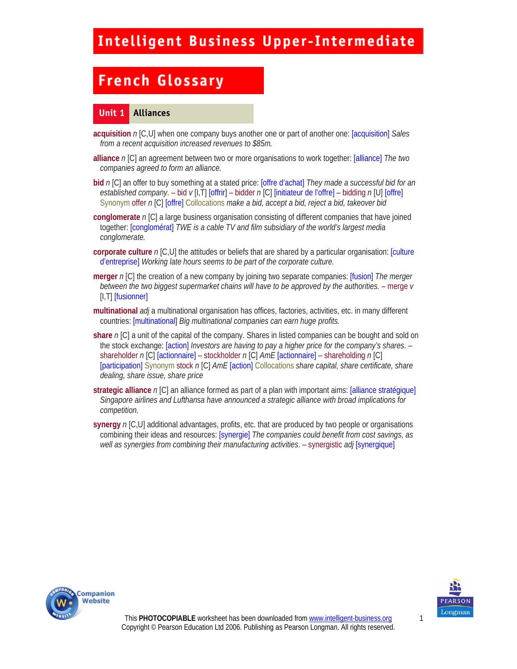# **French Glossary**

#### **Unit 1 Alliances**

- **acquisition** *n* [C,U] when one company buys another one or part of another one: [acquisition] *Sales from a recent acquisition increased revenues to \$85m.*
- **alliance** *n* [C] an agreement between two or more organisations to work together: [alliance] *The two companies agreed to form an alliance.*
- **bid** *n* [C] an offer to buy something at a stated price: [offre d'achat] *They made a successful bid for an established company.* – bid *v* [I,T] [offrir] – bidder *n* [C] [initiateur de l'offre] – bidding *n* [U] [offre] Synonym offer *n* [C] [offre] Collocations *make a bid, accept a bid, reject a bid, takeover bid*
- **conglomerate** *n* [C] a large business organisation consisting of different companies that have joined together: [conglomérat] *TWE is a cable TV and film subsidiary of the world's largest media conglomerate.*
- **corporate culture** *n* [C,U] the attitudes or beliefs that are shared by a particular organisation: [culture d'entreprise] *Working late hours seems to be part of the corporate culture.*
- **merger** *n* [C] the creation of a new company by joining two separate companies: [fusion] *The merger between the two biggest supermarket chains will have to be approved by the authorities.* – merge *v* [I,T] [fusionner]
- **multinational** *adj* a multinational organisation has offices, factories, activities, etc. in many different countries: [multinational] *Big multinational companies can earn huge profits.*
- **share** *n* [C] a unit of the capital of the company. Shares in listed companies can be bought and sold on the stock exchange: [action] *Investors are having to pay a higher price for the company's shares.* – shareholder *n* [C] [actionnaire] – stockholder *n* [C] *AmE* [actionnaire] – shareholding *n* [C] [participation] Synonym stock *n* [C] *AmE* [action] Collocations *share capital, share certificate, share dealing, share issue, share price*
- **strategic alliance** *n* [C] an alliance formed as part of a plan with important aims: [alliance stratégique] *Singapore airlines and Lufthansa have announced a strategic alliance with broad implications for competition.*
- **synergy** *n* [C,U] additional advantages, profits, etc. that are produced by two people or organisations combining their ideas and resources: [synergie] *The companies could benefit from cost savings, as well as synergies from combining their manufacturing activities*. – synergistic *adj* [synergique]





1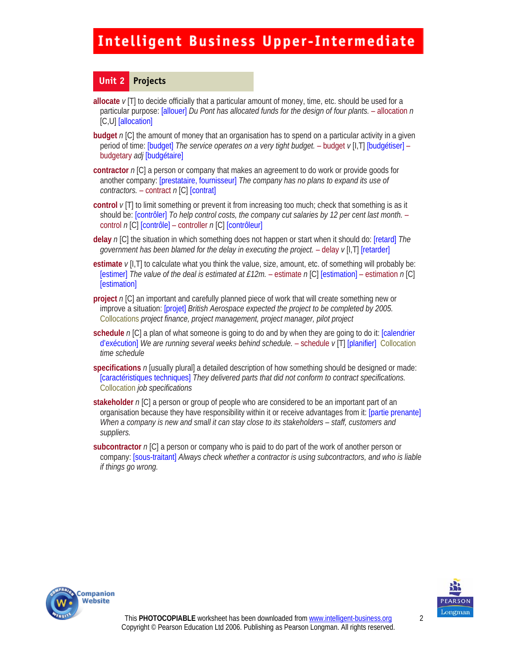#### **Unit 2 Projects**

- **allocate**  $\nu$  [T] to decide officially that a particular amount of money, time, etc. should be used for a particular purpose: [allouer] *Du Pont has allocated funds for the design of four plants.* – allocation *n*  [C,U] [allocation]
- **budget** *n* [C] the amount of money that an organisation has to spend on a particular activity in a given period of time: [budget] *The service operates on a very tight budget.* – budget *v* [I,T] [budgétiser] – budgetary *adj* [budgétaire]
- **contractor** *n* [C] a person or company that makes an agreement to do work or provide goods for another company: [prestataire, fournisseur] *The company has no plans to expand its use of contractors.* – contract *n* [C] [contrat]
- **control** *v* [T] to limit something or prevent it from increasing too much; check that something is as it should be: [contrôler] *To help control costs, the company cut salaries by 12 per cent last month.* – control *n* [C] [contrôle] – controller *n* [C] [contrôleur]
- **delay** *n* [C] the situation in which something does not happen or start when it should do: [retard] *The government has been blamed for the delay in executing the project.* - delay  $v$  [I, T] [retarder]
- **estimate** *v* [I,T] to calculate what you think the value, size, amount, etc. of something will probably be: [estimer] *The value of the deal is estimated at £12m.* – estimate *n* [C] [estimation] – estimation *n* [C] [estimation]
- **project** *n* [C] an important and carefully planned piece of work that will create something new or improve a situation: [projet] *British Aerospace expected the project to be completed by 2005.*  Collocations *project finance, project management, project manager, pilot project*
- **schedule** *n* [C] a plan of what someone is going to do and by when they are going to do it: [calendrier d'exécution] *We are running several weeks behind schedule.* – schedule *v* [T] [planifier] Collocation *time schedule*
- **specifications** *n* [usually plural] a detailed description of how something should be designed or made: [caractéristiques techniques] *They delivered parts that did not conform to contract specifications.*  Collocation *job specifications*
- **stakeholder** *n* [C] a person or group of people who are considered to be an important part of an organisation because they have responsibility within it or receive advantages from it: [partie prenante] *When a company is new and small it can stay close to its stakeholders – staff, customers and suppliers.*
- **subcontractor** *n* [C] a person or company who is paid to do part of the work of another person or company: [sous-traitant] *Always check whether a contractor is using subcontractors, and who is liable if things go wrong.*



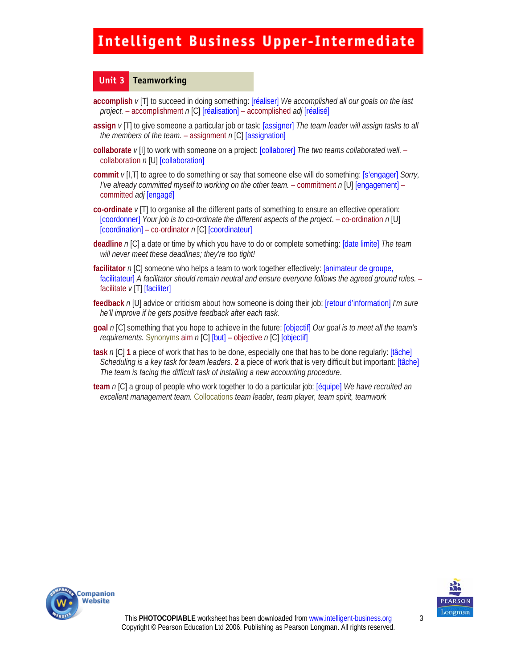#### **Unit 3 Teamworking**

- **accomplish** *v* [T] to succeed in doing something: [réaliser] *We accomplished all our goals on the last project.* – accomplishment *n* [C] [réalisation] – accomplished *adj* [réalisé]
- **assign** *v* [T] to give someone a particular job or task: [assigner] *The team leader will assign tasks to all the members of the team.* – assignment *n* [C] [assignation]
- **collaborate**  $v$  [I] to work with someone on a project: **[collaborer]** *The two teams collaborated well.* collaboration *n* [U] [collaboration]
- **commit** *v* [I,T] to agree to do something or say that someone else will do something: [s'engager] *Sorry, I've already committed myself to working on the other team.* – commitment *n* [U] [engagement] – committed *adj* [engagé]
- **co-ordinate** *v* [T] to organise all the different parts of something to ensure an effective operation: [coordonner] *Your job is to co-ordinate the different aspects of the project*. – co-ordination *n* [U] [coordination] – co-ordinator *n* [C] [coordinateur]
- **deadline** *n* [C] a date or time by which you have to do or complete something: [date limite] *The team will never meet these deadlines; they're too tight!*
- **facilitator** *n* [C] someone who helps a team to work together effectively: [animateur de groupe, facilitateur] *A facilitator should remain neutral and ensure everyone follows the agreed ground rules.* – facilitate  $v$ <sup>[T]</sup> [faciliter]
- **feedback** *n* [U] advice or criticism about how someone is doing their job: [retour d'information] *I'm sure he'll improve if he gets positive feedback after each task.*
- **goal** *n* [C] something that you hope to achieve in the future: [objectif] *Our goal is to meet all the team's requirements.* Synonyms aim *n* [C] [but] – objective *n* [C] [objectif]
- **task** *n* [C] **1** a piece of work that has to be done, especially one that has to be done regularly: [tâche] *Scheduling is a key task for team leaders.* **2** a piece of work that is very difficult but important: [tâche] *The team is facing the difficult task of installing a new accounting procedure*.
- **team** *n* [C] a group of people who work together to do a particular job: [équipe] *We have recruited an excellent management team.* Collocations *team leader, team player, team spirit, teamwork*



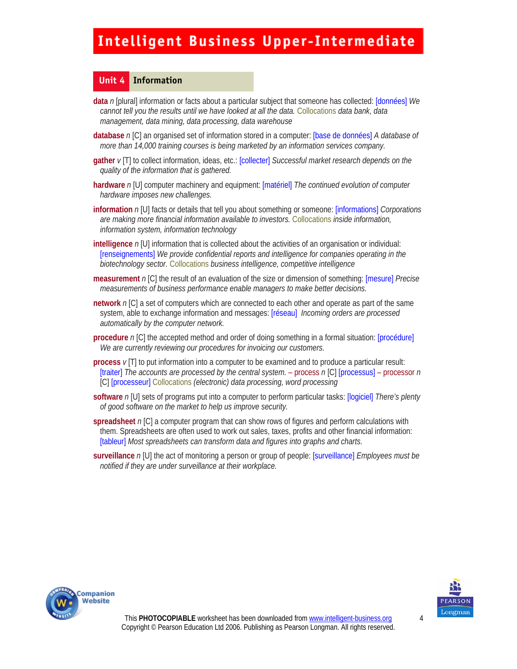#### **Unit 4 Information**

- **data** *n* [plural] information or facts about a particular subject that someone has collected: [données] *We cannot tell you the results until we have looked at all the data.* Collocations *data bank, data management, data mining, data processing, data warehouse*
- **database** *n* [C] an organised set of information stored in a computer: [base de données] *A database of more than 14,000 training courses is being marketed by an information services company.*
- **gather** *v* [T] to collect information, ideas, etc.: [collecter] *Successful market research depends on the quality of the information that is gathered.*
- **hardware** *n* [U] computer machinery and equipment: [matériel] *The continued evolution of computer hardware imposes new challenges.*
- **information** *n* [U] facts or details that tell you about something or someone: [informations] *Corporations are making more financial information available to investors.* Collocations *inside information, information system, information technology*
- **intelligence** *n* [U] information that is collected about the activities of an organisation or individual: [renseignements] *We provide confidential reports and intelligence for companies operating in the biotechnology sector.* Collocations *business intelligence, competitive intelligence*
- **measurement** *n* [C] the result of an evaluation of the size or dimension of something: [mesure] *Precise measurements of business performance enable managers to make better decisions.*
- **network** *n* [C] a set of computers which are connected to each other and operate as part of the same system, able to exchange information and messages: [réseau] *Incoming orders are processed automatically by the computer network.*
- **procedure** *n* [C] the accepted method and order of doing something in a formal situation: [procédure] *We are currently reviewing our procedures for invoicing our customers.*
- **process** *v* [T] to put information into a computer to be examined and to produce a particular result: [traiter] *The accounts are processed by the central system.* – process *n* [C] [processus] – processor *n*  [C] [processeur] Collocations *(electronic) data processing, word processing*
- **software** *n* [U] sets of programs put into a computer to perform particular tasks: [logiciel] *There's plenty of good software on the market to help us improve security.*
- **spreadsheet** *n* [C] a computer program that can show rows of figures and perform calculations with them. Spreadsheets are often used to work out sales, taxes, profits and other financial information: [tableur] *Most spreadsheets can transform data and figures into graphs and charts.*
- **surveillance** *n* [U] the act of monitoring a person or group of people: [surveillance] *Employees must be notified if they are under surveillance at their workplace.*



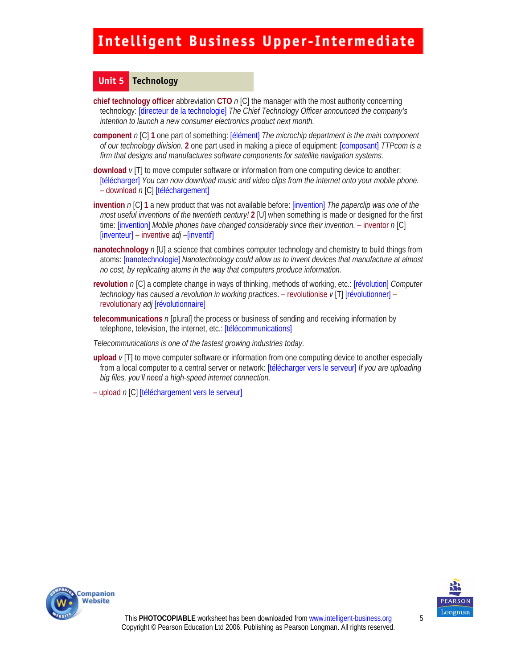#### **Unit 5 Technology**

**chief technology officer** abbreviation **CTO** *n* [C] the manager with the most authority concerning technology: [directeur de la technologie] *The Chief Technology Officer announced the company's intention to launch a new consumer electronics product next month.* 

- **component** *n* [C] **1** one part of something: [élément] *The microchip department is the main component of our technology division.* **2** one part used in making a piece of equipment: [composant] *TTPcom is a firm that designs and manufactures software components for satellite navigation systems.*
- **download** *v* [T] to move computer software or information from one computing device to another: [télécharger] *You can now download music and video clips from the internet onto your mobile phone.*  – download *n* [C] [téléchargement]
- **invention** *n* [C] **1** a new product that was not available before: [invention] *The paperclip was one of the most useful inventions of the twentieth century!* **2** [U] when something is made or designed for the first time: [invention] *Mobile phones have changed considerably since their invention.* – inventor *n* [C] [inventeur] – inventive *adj –*[inventif]
- **nanotechnology**  $n$  [U] a science that combines computer technology and chemistry to build things from atoms: [nanotechnologie] *Nanotechnology could allow us to invent devices that manufacture at almost no cost, by replicating atoms in the way that computers produce information.*
- **revolution** *n* [C] a complete change in ways of thinking, methods of working, etc.: [révolution] *Computer technology has caused a revolution in working practices*. – revolutionise *v* [T] [révolutionner] – revolutionary *adj* [révolutionnaire]
- **telecommunications** *n* [plural] the process or business of sending and receiving information by telephone, television, the internet, etc.: [télécommunications]
- *Telecommunications is one of the fastest growing industries today.*
- **upload** *v* [T] to move computer software or information from one computing device to another especially from a local computer to a central server or network: [télécharger vers le serveur] *If you are uploading big files, you'll need a high-speed internet connection.*

– upload *n* [C] [téléchargement vers le serveur]



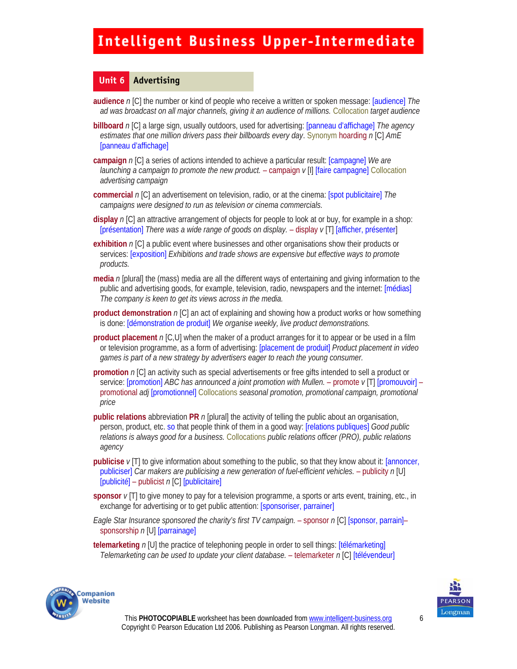#### **Unit 6 Advertising**

- **audience** *n* [C] the number or kind of people who receive a written or spoken message: [audience] *The ad was broadcast on all major channels, giving it an audience of millions.* Collocation *target audience*
- **billboard** *n* [C] a large sign, usually outdoors, used for advertising: [panneau d'affichage] *The agency estimates that one million drivers pass their billboards every day*. Synonym hoarding *n* [C] *AmE*  [panneau d'affichage]
- **campaign** *n* [C] a series of actions intended to achieve a particular result: [campagne] *We are launching a campaign to promote the new product.* – campaign *v* [I] [faire campagne] Collocation *advertising campaign*
- **commercial** *n* [C] an advertisement on television, radio, or at the cinema: [spot publicitaire] *The campaigns were designed to run as television or cinema commercials.*
- **display** *n* [C] an attractive arrangement of objects for people to look at or buy, for example in a shop: [présentation] *There was a wide range of goods on display.* – display *v* [T] [afficher, présenter]
- **exhibition** *n* [C] a public event where businesses and other organisations show their products or services: [exposition] *Exhibitions and trade shows are expensive but effective ways to promote products.*
- **media** *n* [plural] the (mass) media are all the different ways of entertaining and giving information to the public and advertising goods, for example, television, radio, newspapers and the internet: [médias] *The company is keen to get its views across in the media.*
- **product demonstration** *n* [C] an act of explaining and showing how a product works or how something is done: [démonstration de produit] *We organise weekly, live product demonstrations.*
- **product placement** *n* [C,U] when the maker of a product arranges for it to appear or be used in a film or television programme, as a form of advertising: [placement de produit] *Product placement in video games is part of a new strategy by advertisers eager to reach the young consumer.*
- **promotion** *n* [C] an activity such as special advertisements or free gifts intended to sell a product or service: [promotion] *ABC has announced a joint promotion with Mullen.* – promote *v* [T] [promouvoir] – promotional *adj* [promotionnel] Collocations *seasonal promotion, promotional campaign, promotional price*
- **public relations** abbreviation **PR** *n* [plural] the activity of telling the public about an organisation, person, product, etc. so that people think of them in a good way: [relations publiques] *Good public relations is always good for a business.* Collocations *public relations officer (PRO), public relations agency*
- **publicise** *v* [T] to give information about something to the public, so that they know about it: [annoncer, publiciser] *Car makers are publicising a new generation of fuel-efficient vehicles.* - publicity n [U] [publicité] – publicist *n* [C] [publicitaire]
- **sponsor** *v* [T] to give money to pay for a television programme, a sports or arts event, training, etc., in exchange for advertising or to get public attention: [sponsoriser, parrainer]
- *Eagle Star Insurance sponsored the charity's first TV campaign.* sponsor *n* [C] [sponsor, parrain]– sponsorship *n* [U] [parrainage]
- **telemarketing** *n* [U] the practice of telephoning people in order to sell things: [télémarketing] *Telemarketing can be used to update your client database.* – telemarketer *n* [C] [télévendeur]



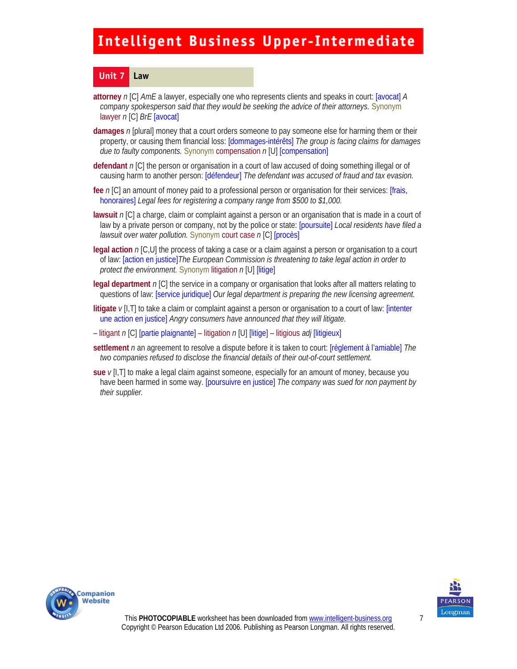#### **Unit 7 Law**

- **attorney** *n* [C] *AmE* a lawyer, especially one who represents clients and speaks in court: [avocat] *A company spokesperson said that they would be seeking the advice of their attorneys.* Synonym lawyer *n* [C] *BrE* [avocat]
- **damages** *n* [plural] money that a court orders someone to pay someone else for harming them or their property, or causing them financial loss: [dommages-intérêts] *The group is facing claims for damages due to faulty components.* Synonym compensation *n* [U] [compensation]
- **defendant** *n* [C] the person or organisation in a court of law accused of doing something illegal or of causing harm to another person: [défendeur] *The defendant was accused of fraud and tax evasion.*
- **fee** *n* [C] an amount of money paid to a professional person or organisation for their services: [frais, honoraires] *Legal fees for registering a company range from \$500 to \$1,000.*
- **lawsuit** *n* [C] a charge, claim or complaint against a person or an organisation that is made in a court of law by a private person or company, not by the police or state: [poursuite] *Local residents have filed a lawsuit over water pollution.* Synonym court case *n* [C] [procès]
- **legal action** *n* [C,U] the process of taking a case or a claim against a person or organisation to a court of law: [action en justice]*The European Commission is threatening to take legal action in order to protect the environment.* Synonym litigation *n* [U] [litige]
- **legal department** *n* [C] the service in a company or organisation that looks after all matters relating to questions of law: [service juridique] *Our legal department is preparing the new licensing agreement.*
- **litigate** *v* [I,T] to take a claim or complaint against a person or organisation to a court of law: [intenter une action en justice] *Angry consumers have announced that they will litigate.*
- litigant *n* [C] [partie plaignante] litigation *n* [U] [litige] litigious *adj* [litigieux]
- **settlement** *n* an agreement to resolve a dispute before it is taken to court: [règlement à l'amiable] *The two companies refused to disclose the financial details of their out-of-court settlement.*
- **sue** *v* [I,T] to make a legal claim against someone, especially for an amount of money, because you have been harmed in some way. [poursuivre en justice] *The company was sued for non payment by their supplier.*





7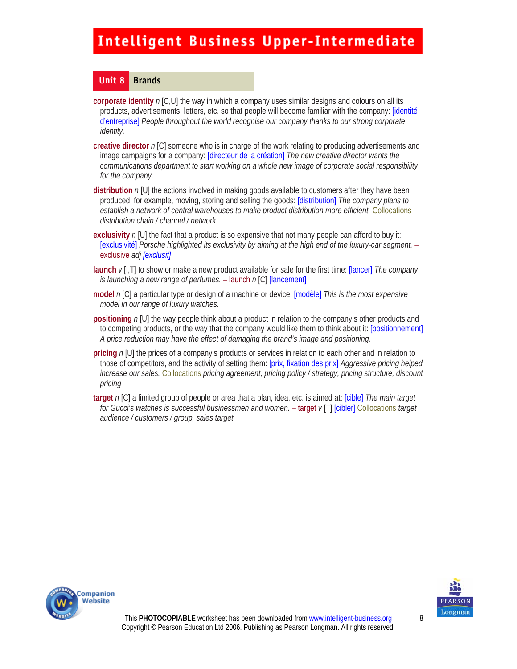#### **Unit 8 Brands**

- **corporate identity** *n* [C,U] the way in which a company uses similar designs and colours on all its products, advertisements, letters, etc. so that people will become familiar with the company: [identité d'entreprise] *People throughout the world recognise our company thanks to our strong corporate identity.*
- **creative director** *n* [C] someone who is in charge of the work relating to producing advertisements and image campaigns for a company: [directeur de la création] *The new creative director wants the communications department to start working on a whole new image of corporate social responsibility for the company.*
- **distribution** *n* [U] the actions involved in making goods available to customers after they have been produced, for example, moving, storing and selling the goods: [distribution] *The company plans to establish a network of central warehouses to make product distribution more efficient.* Collocations *distribution chain / channel / network*
- **exclusivity** *n* [U] the fact that a product is so expensive that not many people can afford to buy it: [exclusivité] *Porsche highlighted its exclusivity by aiming at the high end of the luxury-car segment.* – exclusive *adj [exclusif]*
- **launch** *v* [I,T] to show or make a new product available for sale for the first time: [lancer] *The company is launching a new range of perfumes.* – launch *n* [C] [lancement]
- **model** *n* [C] a particular type or design of a machine or device: [modèle] *This is the most expensive model in our range of luxury watches.*
- **positioning**  $n[U]$  the way people think about a product in relation to the company's other products and to competing products, or the way that the company would like them to think about it: [positionnement] *A price reduction may have the effect of damaging the brand's image and positioning.*
- **pricing** *n* [U] the prices of a company's products or services in relation to each other and in relation to those of competitors, and the activity of setting them: [prix, fixation des prix] *Aggressive pricing helped increase our sales.* Collocations *pricing agreement, pricing policy / strategy, pricing structure, discount pricing*
- **target** *n* [C] a limited group of people or area that a plan, idea, etc. is aimed at: [cible] *The main target for Gucci's watches is successful businessmen and women.* – target *v* [T] [cibler] Collocations *target audience / customers / group, sales target*



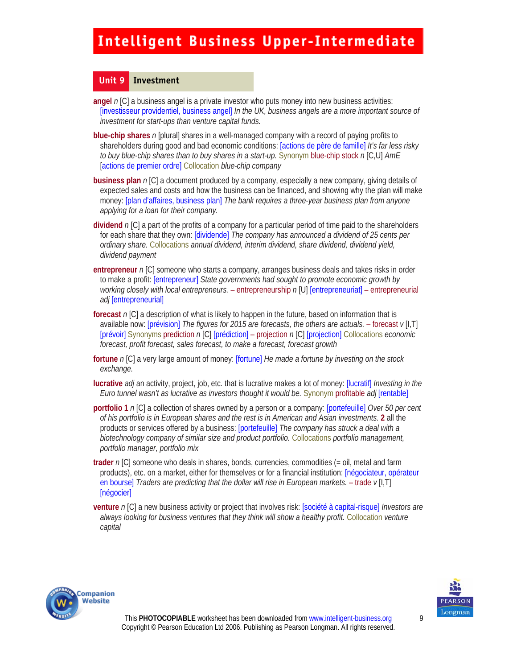#### **Unit 9 Investment**

**angel** *n* [C] a business angel is a private investor who puts money into new business activities: [investisseur providentiel, business angel] *In the UK, business angels are a more important source of investment for start-ups than venture capital funds.* 

- **blue-chip shares** *n* [plural] shares in a well-managed company with a record of paying profits to shareholders during good and bad economic conditions: [actions de père de famille] *It's far less risky to buy blue-chip shares than to buy shares in a start-up.* Synonym blue-chip stock *n* [C,U] *AmE*  [actions de premier ordre] Collocation *blue-chip company*
- **business plan** *n* [C] a document produced by a company, especially a new company, giving details of expected sales and costs and how the business can be financed, and showing why the plan will make money: [plan d'affaires, business plan] *The bank requires a three-year business plan from anyone applying for a loan for their company.*
- **dividend** *n* [C] a part of the profits of a company for a particular period of time paid to the shareholders for each share that they own: [dividende] *The company has announced a dividend of 25 cents per ordinary share.* Collocations *annual dividend, interim dividend, share dividend, dividend yield, dividend payment*
- **entrepreneur** *n* [C] someone who starts a company, arranges business deals and takes risks in order to make a profit: [entrepreneur] *State governments had sought to promote economic growth by working closely with local entrepreneurs.* – entrepreneurship *n* [U] [entrepreneuriat] – entrepreneurial *adj* [entrepreneurial]
- **forecast** *n* [C] a description of what is likely to happen in the future, based on information that is available now: [prévision] *The figures for 2015 are forecasts, the others are actuals.* – forecast *v* [I,T] [prévoir] Synonyms prediction *n* [C] [prédiction] – projection *n* [C] [projection] Collocations *economic forecast, profit forecast, sales forecast, to make a forecast, forecast growth*
- **fortune** *n* [C] a very large amount of money: [fortune] *He made a fortune by investing on the stock exchange.*
- **lucrative** *adj* an activity, project, job, etc. that is lucrative makes a lot of money: [lucratif] *Investing in the Euro tunnel wasn't as lucrative as investors thought it would be.* Synonym profitable *adj* [rentable]
- **portfolio 1** *n* [C] a collection of shares owned by a person or a company: [portefeuille] *Over 50 per cent of his portfolio is in European shares and the rest is in American and Asian investments.* **2** all the products or services offered by a business: [portefeuille] *The company has struck a deal with a biotechnology company of similar size and product portfolio.* Collocations *portfolio management, portfolio manager, portfolio mix*
- **trader** *n* [C] someone who deals in shares, bonds, currencies, commodities (= oil, metal and farm products), etc. on a market, either for themselves or for a financial institution: [négociateur, opérateur en bourse] *Traders are predicting that the dollar will rise in European markets.* - trade  $v[1,T]$ [négocier]
- **venture** *n* [C] a new business activity or project that involves risk: [société à capital-risque] *Investors are always looking for business ventures that they think will show a healthy profit.* Collocation *venture capital*



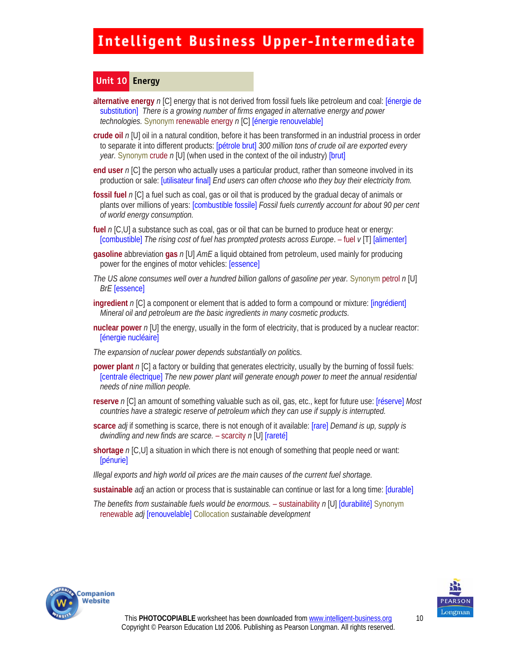#### **Unit 10 Energy**

- **alternative energy** *n* [C] energy that is not derived from fossil fuels like petroleum and coal: [énergie de substitution] *There is a growing number of firms engaged in alternative energy and power technologies.* Synonym renewable energy *n* [C] [énergie renouvelable]
- **crude oil** *n* [U] oil in a natural condition, before it has been transformed in an industrial process in order to separate it into different products: [pétrole brut] *300 million tons of crude oil are exported every year.* Synonym crude *n* [U] (when used in the context of the oil industry) [brut]
- **end user** *n* [C] the person who actually uses a particular product, rather than someone involved in its production or sale: [utilisateur final] *End users can often choose who they buy their electricity from.*
- **fossil fuel** *n* [C] a fuel such as coal, gas or oil that is produced by the gradual decay of animals or plants over millions of years: [combustible fossile] *Fossil fuels currently account for about 90 per cent of world energy consumption.*
- **fuel** *n* [C,U] a substance such as coal, gas or oil that can be burned to produce heat or energy: [combustible] *The rising cost of fuel has prompted protests across Europe*. – fuel *v* [T] [alimenter]
- **gasoline** abbreviation **gas** *n* [U] *AmE* a liquid obtained from petroleum, used mainly for producing power for the engines of motor vehicles: [essence]
- *The US alone consumes well over a hundred billion gallons of gasoline per year.* Synonym petrol *n* [U] *BrE* [essence]
- **ingredient** *n* [C] a component or element that is added to form a compound or mixture: [ingrédient] *Mineral oil and petroleum are the basic ingredients in many cosmetic products.*
- **nuclear power** *n* [U] the energy, usually in the form of electricity, that is produced by a nuclear reactor: [énergie nucléaire]
- *The expansion of nuclear power depends substantially on politi*cs.
- **power plant** *n* [C] a factory or building that generates electricity, usually by the burning of fossil fuels: [centrale électrique] *The new power plant will generate enough power to meet the annual residential needs of nine million people.*
- **reserve** *n* [C] an amount of something valuable such as oil, gas, etc., kept for future use: [réserve] *Most countries have a strategic reserve of petroleum which they can use if supply is interrupted.*
- **scarce** *adj* if something is scarce, there is not enough of it available: [rare] *Demand is up, supply is dwindling and new finds are scarce.* – scarcity *n* [U] [rareté]
- **shortage** *n* [C,U] a situation in which there is not enough of something that people need or want: [pénurie]
- *Illegal exports and high world oil prices are the main causes of the current fuel shortage.*
- **sustainable** *adj* an action or process that is sustainable can continue or last for a long time: [durable]
- *The benefits from sustainable fuels would be enormous.*  sustainability *n* [U] [durabilité] Synonym renewable *adj* [renouvelable] Collocation *sustainable development*



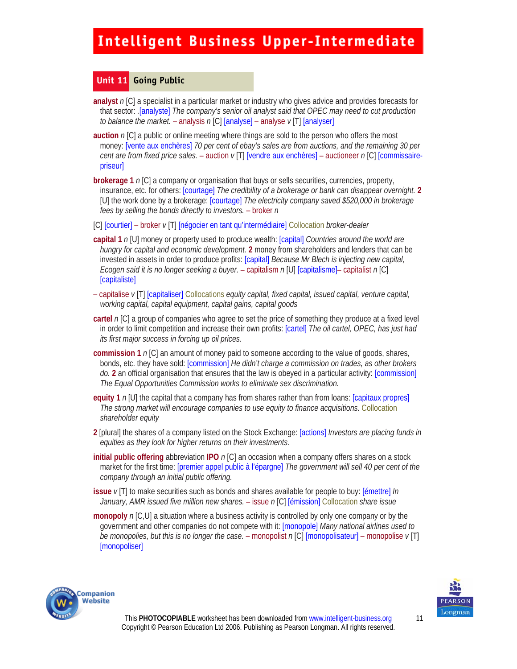#### **Unit 11 Going Public**

- **analyst** *n* [C] a specialist in a particular market or industry who gives advice and provides forecasts for that sector: *.*[analyste] *The company's senior oil analyst said that OPEC may need to cut production to balance the market.* – analysis *n* [C] [analyse] – analyse *v* [T] [analyser]
- **auction** *n* [C] a public or online meeting where things are sold to the person who offers the most money: [vente aux enchères] *70 per cent of ebay's sales are from auctions, and the remaining 30 per cent are from fixed price sales.* – auction *v* [T] [vendre aux enchères] – auctioneer *n* [C] [commissairepriseur]
- **brokerage 1** *n* [C] a company or organisation that buys or sells securities, currencies, property, insurance, etc. for others: [courtage] *The credibility of a brokerage or bank can disappear overnight.* 2 [U] the work done by a brokerage: [courtage] *The electricity company saved \$520,000 in brokerage fees by selling the bonds directly to investors.* – broker *n*
- [C] [courtier] broker *v* [T] [négocier en tant qu'intermédiaire] Collocation *broker-dealer*
- **capital 1** *n* [U] money or property used to produce wealth: [capital] *Countries around the world are hungry for capital and economic development.* **2** money from shareholders and lenders that can be invested in assets in order to produce profits: [capital] *Because Mr Blech is injecting new capital, Ecogen said it is no longer seeking a buyer.* – capitalism *n* [U] [capitalisme]– capitalist *n* [C] [capitaliste]
- capitalise *v* [T] [capitaliser] Collocations *equity capital, fixed capital, issued capital, venture capital, working capital, capital equipment, capital gains, capital goods*
- **cartel** *n* [C] a group of companies who agree to set the price of something they produce at a fixed level in order to limit competition and increase their own profits: [cartel] *The oil cartel, OPEC, has just had its first major success in forcing up oil prices.*
- **commission 1** *n* [C] an amount of money paid to someone according to the value of goods, shares, bonds, etc. they have sold: [commission] *He didn't charge a commission on trades, as other brokers do.* **2** an official organisation that ensures that the law is obeyed in a particular activity: [commission] *The Equal Opportunities Commission works to eliminate sex discrimination.*
- **equity 1** *n* [U] the capital that a company has from shares rather than from loans: [capitaux propres] *The strong market will encourage companies to use equity to finance acquisitions.* Collocation *shareholder equity*
- **2** [plural] the shares of a company listed on the Stock Exchange: [actions] *Investors are placing funds in equities as they look for higher returns on their investments.*
- **initial public offering** abbreviation **IPO** *n* [C] an occasion when a company offers shares on a stock market for the first time: [premier appel public à l'épargne] *The government will sell 40 per cent of the company through an initial public offering.*
- **issue** *v* [T] to make securities such as bonds and shares available for people to buy: [émettre] *In January, AMR issued five million new shares.* – issue *n* [C] [émission] Collocation *share issue*
- **monopoly** *n* [C,U] a situation where a business activity is controlled by only one company or by the government and other companies do not compete with it: [monopole] *Many national airlines used to be monopolies, but this is no longer the case.* – monopolist *n* [C] [monopolisateur] – monopolise *v* [T] [monopoliser]



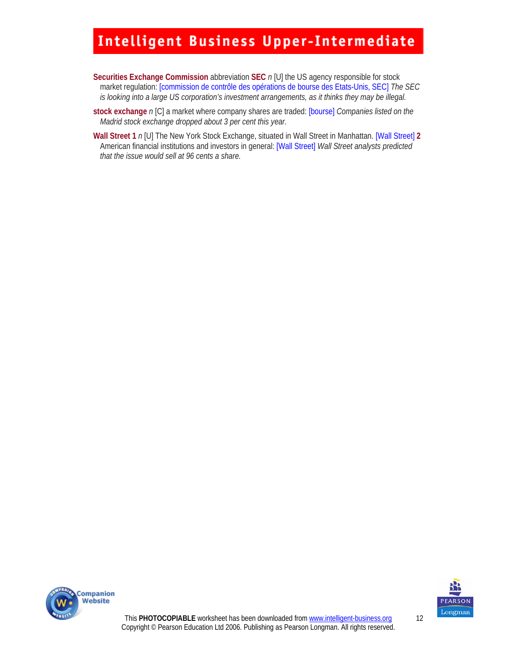- **Securities Exchange Commission** abbreviation **SEC** *n* [U] the US agency responsible for stock market regulation: [commission de contrôle des opérations de bourse des Etats-Unis, SEC] *The SEC is looking into a large US corporation's investment arrangements, as it thinks they may be illegal.*
- **stock exchange** *n* [C] a market where company shares are traded: [bourse] *Companies listed on the Madrid stock exchange dropped about 3 per cent this year.*
- **Wall Street 1** *n* [U] The New York Stock Exchange, situated in Wall Street in Manhattan. [Wall Street] **2**  American financial institutions and investors in general: [Wall Street] *Wall Street analysts predicted that the issue would sell at 96 cents a share.*





This **PHOTOCOPIABLE** worksheet has been downloaded from www.intelligent-business.org Copyright © Pearson Education Ltd 2006. Publishing as Pearson Longman. All rights reserved. 12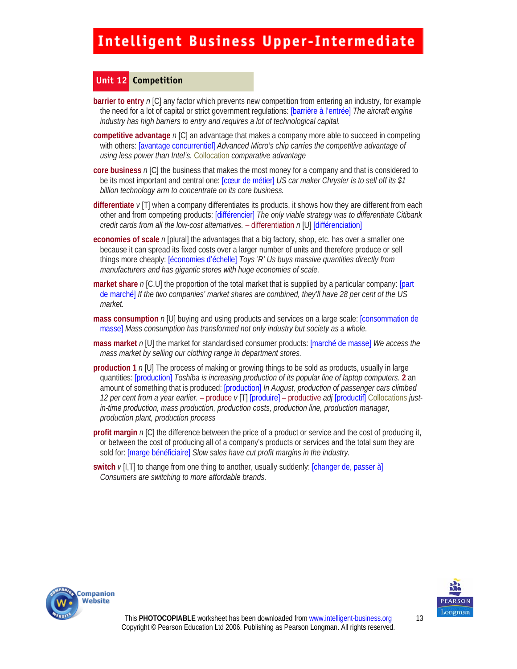#### **Unit 12 Competition**

- **barrier to entry** *n* [C] any factor which prevents new competition from entering an industry, for example the need for a lot of capital or strict government regulations: [barrière à l'entrée] *The aircraft engine industry has high barriers to entry and requires a lot of technological capital.*
- **competitive advantage** *n* [C] an advantage that makes a company more able to succeed in competing with others: [avantage concurrentiel] *Advanced Micro's chip carries the competitive advantage of using less power than Intel's.* Collocation *comparative advantage*
- **core business** *n* [C] the business that makes the most money for a company and that is considered to be its most important and central one: [cœur de métier] *US car maker Chrysler is to sell off its \$1 billion technology arm to concentrate on its core business.*
- **differentiate** *v* [T] when a company differentiates its products, it shows how they are different from each other and from competing products: [différencier] *The only viable strategy was to differentiate Citibank credit cards from all the low-cost alternatives.* – differentiation *n* [U] [différenciation]
- **economies of scale** *n* [plural] the advantages that a big factory, shop, etc. has over a smaller one because it can spread its fixed costs over a larger number of units and therefore produce or sell things more cheaply: [économies d'échelle] *Toys 'R' Us buys massive quantities directly from manufacturers and has gigantic stores with huge economies of scale.*
- **market share** *n* [C,U] the proportion of the total market that is supplied by a particular company: [part] de marché] *If the two companies' market shares are combined, they'll have 28 per cent of the US market.*
- **mass consumption** *n* [U] buying and using products and services on a large scale: [consommation de masse] *Mass consumption has transformed not only industry but society as a whole.*
- **mass market** *n* [U] the market for standardised consumer products: [marché de masse] *We access the mass market by selling our clothing range in department stores.*
- **production 1** *n* [U] The process of making or growing things to be sold as products, usually in large quantities: [production] *Toshiba is increasing production of its popular line of laptop computers.* **2** an amount of something that is produced: [production] *In August, production of passenger cars climbed 12 per cent from a year earlier.* – produce *v* [T] [produire] – productive *adj* [productif] Collocations *justin-time production, mass production, production costs, production line, production manager, production plant, production process*
- **profit margin** *n* [C] the difference between the price of a product or service and the cost of producing it, or between the cost of producing all of a company's products or services and the total sum they are sold for: [marge bénéficiaire] *Slow sales have cut profit margins in the industry.*
- **switch**  $\nu$ [I,T] to change from one thing to another, usually suddenly: [changer de, passer à] *Consumers are switching to more affordable brands.*



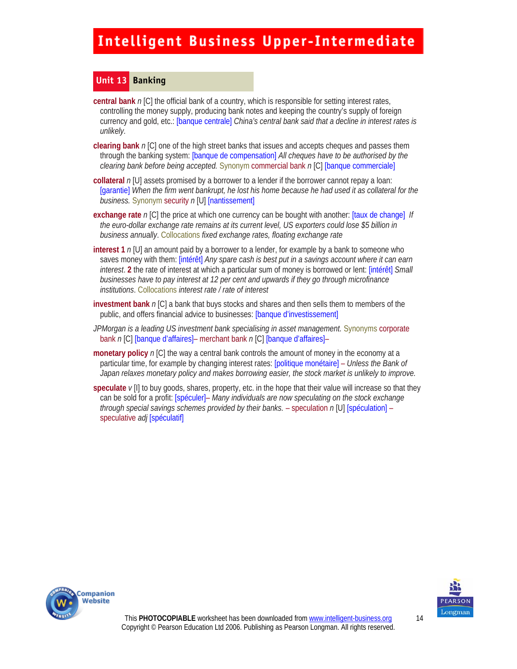#### **Unit 13 Banking**

**central bank** *n* [C] the official bank of a country, which is responsible for setting interest rates, controlling the money supply, producing bank notes and keeping the country's supply of foreign currency and gold, etc.: [banque centrale] *China's central bank said that a decline in interest rates is unlikely.* 

- **clearing bank** *n* [C] one of the high street banks that issues and accepts cheques and passes them through the banking system: [banque de compensation] *All cheques have to be authorised by the clearing bank before being accepted.* Synonym commercial bank *n* [C] [banque commerciale]
- **collateral** *n* [U] assets promised by a borrower to a lender if the borrower cannot repay a loan: [garantie] When the firm went bankrupt, he lost his home because he had used it as collateral for the *business.* Synonym security *n* [U] [nantissement]
- **exchange rate** *n* [C] the price at which one currency can be bought with another: [taux de change] *If the euro-dollar exchange rate remains at its current level, US exporters could lose \$5 billion in business annually*. Collocations *fixed exchange rates, floating exchange rate*
- **interest 1** *n* [U] an amount paid by a borrower to a lender, for example by a bank to someone who saves money with them: [intérêt] *Any spare cash is best put in a savings account where it can earn interest*. **2** the rate of interest at which a particular sum of money is borrowed or lent: [intérêt] *Small businesses have to pay interest at 12 per cent and upwards if they go through microfinance institutions*. Collocations *interest rate / rate of interest*
- **investment bank** *n* [C] a bank that buys stocks and shares and then sells them to members of the public, and offers financial advice to businesses: [banque d'investissement]
- *JPMorgan is a leading US investment bank specialising in asset management.* Synonyms corporate bank *n* [C] [banque d'affaires]– merchant bank *n* [C] [banque d'affaires]–
- **monetary policy** *n* [C] the way a central bank controls the amount of money in the economy at a particular time, for example by changing interest rates: [politique monétaire] – *Unless the Bank of Japan relaxes monetary policy and makes borrowing easier, the stock market is unlikely to improve.*
- **speculate** *v* [I] to buy goods, shares, property, etc. in the hope that their value will increase so that they can be sold for a profit: [spéculer]– *Many individuals are now speculating on the stock exchange through special savings schemes provided by their banks.* – speculation *n* [U] [spéculation] – speculative *adj* [spéculatif]



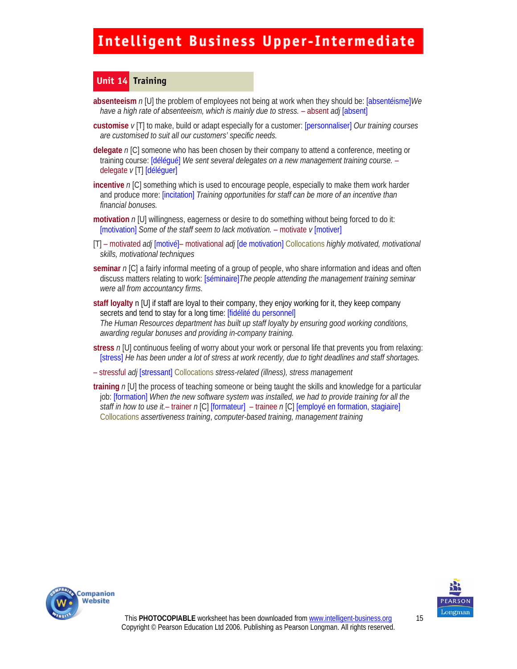#### **Unit 14 Training**

- **absenteeism** *n* [U] the problem of employees not being at work when they should be: [absentéisme]*We have a high rate of absenteeism, which is mainly due to stress.* – absent *adj* [absent]
- **customise** *v* [T] to make, build or adapt especially for a customer: [personnaliser] *Our training courses are customised to suit all our customers' specific needs.*

**delegate** *n* [C] someone who has been chosen by their company to attend a conference, meeting or training course: [délégué] *We sent several delegates on a new management training course.* – delegate *v* [T] [déléguer]

- **incentive** *n* [C] something which is used to encourage people, especially to make them work harder and produce more: [incitation] *Training opportunities for staff can be more of an incentive than financial bonuses.*
- **motivation** n [U] willingness, eagerness or desire to do something without being forced to do it: [motivation] *Some of the staff seem to lack motivation.* – motivate *v* [motiver]
- [T] motivated *adj* [motivé]– motivational *adj* [de motivation] Collocations *highly motivated, motivational skills, motivational techniques*
- **seminar** *n* [C] a fairly informal meeting of a group of people, who share information and ideas and often discuss matters relating to work: [séminaire]*The people attending the management training seminar were all from accountancy firms.*
- **staff loyalty** n [U] if staff are loyal to their company, they enjoy working for it, they keep company secrets and tend to stay for a long time: [fidélité du personnel] *The Human Resources department has built up staff loyalty by ensuring good working conditions, awarding regular bonuses and providing in-company training.*
- **stress** *n* [U] continuous feeling of worry about your work or personal life that prevents you from relaxing: [stress] *He has been under a lot of stress at work recently, due to tight deadlines and staff shortages.*
- stressful *adj* [stressant] Collocations *stress-related (illness), stress management*

**training** *n* [U] the process of teaching someone or being taught the skills and knowledge for a particular job: [formation] *When the new software system was installed, we had to provide training for all the staff in how to use it.*– trainer *n* [C] [formateur] – trainee *n* [C] [employé en formation, stagiaire] Collocations *assertiveness training*, *computer-based training, management training*